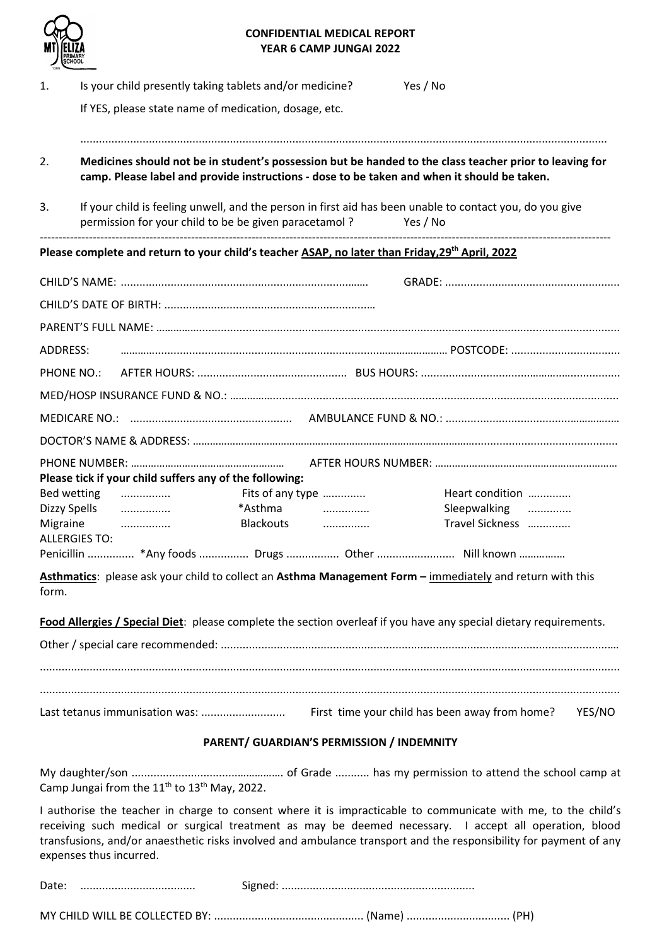

## **CONFIDENTIAL MEDICAL REPORT YEAR 6 CAMP JUNGAI 2022**

| 1.                       | Is your child presently taking tablets and/or medicine?<br>If YES, please state name of medication, dosage, etc.                                                                                       | Yes / No                                                 |
|--------------------------|--------------------------------------------------------------------------------------------------------------------------------------------------------------------------------------------------------|----------------------------------------------------------|
| 2.                       | Medicines should not be in student's possession but be handed to the class teacher prior to leaving for<br>camp. Please label and provide instructions - dose to be taken and when it should be taken. |                                                          |
| 3.                       | If your child is feeling unwell, and the person in first aid has been unable to contact you, do you give<br>permission for your child to be be given paracetamol?                                      | Yes / No                                                 |
|                          | Please complete and return to your child's teacher ASAP, no later than Friday, 29 <sup>th</sup> April, 2022                                                                                            |                                                          |
|                          |                                                                                                                                                                                                        |                                                          |
|                          |                                                                                                                                                                                                        |                                                          |
| ADDRESS:                 |                                                                                                                                                                                                        |                                                          |
| PHONE NO.:               |                                                                                                                                                                                                        |                                                          |
|                          |                                                                                                                                                                                                        |                                                          |
|                          |                                                                                                                                                                                                        |                                                          |
|                          |                                                                                                                                                                                                        |                                                          |
|                          | Please tick if your child suffers any of the following:                                                                                                                                                |                                                          |
| Bed wetting              | Fits of any type<br>.                                                                                                                                                                                  | Heart condition                                          |
| Dizzy Spells<br>Migraine | *Asthma<br>.<br>Blackouts<br>.                                                                                                                                                                         | Sleepwalking<br>Travel Sickness                          |
| <b>ALLERGIES TO:</b>     |                                                                                                                                                                                                        |                                                          |
|                          | Penicillin  *Any foods  Drugs  Other  Nill known                                                                                                                                                       |                                                          |
| form.                    | Asthmatics: please ask your child to collect an Asthma Management Form - immediately and return with this                                                                                              |                                                          |
|                          | Food Allergies / Special Diet: please complete the section overleaf if you have any special dietary requirements.                                                                                      |                                                          |
|                          |                                                                                                                                                                                                        |                                                          |
|                          |                                                                                                                                                                                                        | First time your child has been away from home?<br>YES/NO |
|                          | PARENT/ GUARDIAN'S PERMISSION / INDEMNITY                                                                                                                                                              |                                                          |
|                          |                                                                                                                                                                                                        |                                                          |
|                          |                                                                                                                                                                                                        |                                                          |

Camp Jungai from the  $11<sup>th</sup>$  to  $13<sup>th</sup>$  May, 2022. I authorise the teacher in charge to consent where it is impracticable to communicate with me, to the child's

receiving such medical or surgical treatment as may be deemed necessary. I accept all operation, blood transfusions, and/or anaesthetic risks involved and ambulance transport and the responsibility for payment of any expenses thus incurred.

|--|--|--|

MY CHILD WILL BE COLLECTED BY: ................................................ (Name) ................................. (PH)